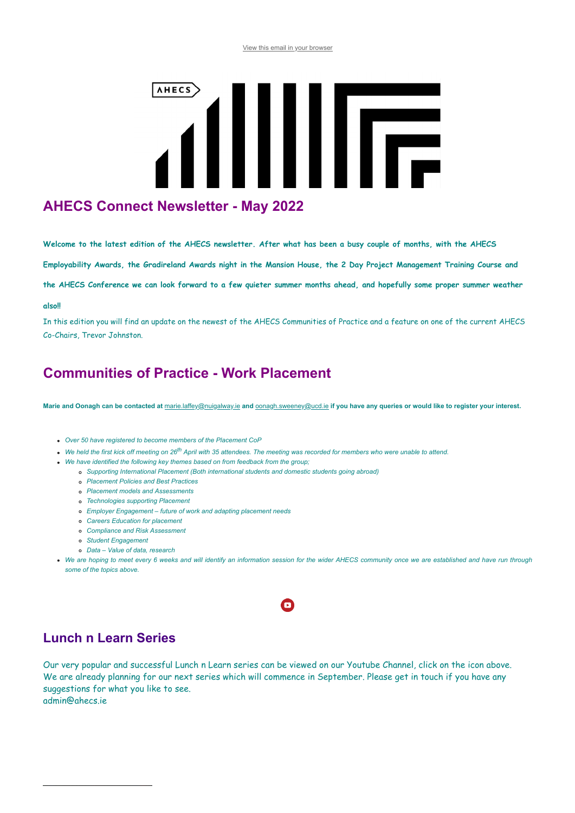#### [View this email in your browser](https://mailchi.mp/b825802c84f2/connect-newsletter-update-february-15466107?e=[UNIQID])

# **AHECS** IIIF

# **AHECS Connect Newsletter - May 2022**

**Welcome to the latest edition of the AHECS newsletter. After what has been a busy couple of months, with the AHECS**

**Employability Awards, the Gradireland Awards night in the Mansion House, the 2 Day Project Management Training Course and**

**the AHECS Conference we can look forward to a few quieter summer months ahead, and hopefully some proper summer weather**

#### **also!!**

In this edition you will find an update on the newest of the AHECS Communities of Practice and a feature on one of the current AHECS Co-Chairs, Trevor Johnston.

## **Communities of Practice - Work Placement**

**Marie and Oonagh can be contacted at** [marie.laffey@nuigalway.ie](mailto:marie.laffey@nuigalway.ie) **and** [oonagh.sweeney@ucd.ie](mailto:oonagh.sweeney@ucd.ie) **if you have any queries or would like to register your interest.**

- *Over 50 have registered to become members of the Placement CoP*
- *We held the first kick off meeting on 26th April with 35 attendees. The meeting was recorded for members who were unable to attend.*
- *We have identified the following key themes based on from feedback from the group;*
	- *Supporting International Placement (Both international students and domestic students going abroad)*
		- *Placement Policies and Best Practices*
		- *Placement models and Assessments*
		- *Technologies supporting Placement*
		- *Employer Engagement future of work and adapting placement needs*
		- *Careers Education for placement*
		- *Compliance and Risk Assessment*
		- *Student Engagement*
		- *Data Value of data, research*
- *We are hoping to meet every 6 weeks and will identify an information session for the wider AHECS community once we are established and have run through some of the topics above.*

### $\mathbf \Omega$

## **Lunch n Learn Series**

Our very popular and successful Lunch n Learn series can be viewed on our Youtube Channel, click on the icon above. We are already planning for our next series which will commence in September. Please get in touch if you have any suggestions for what you like to see. admin@ahecs.ie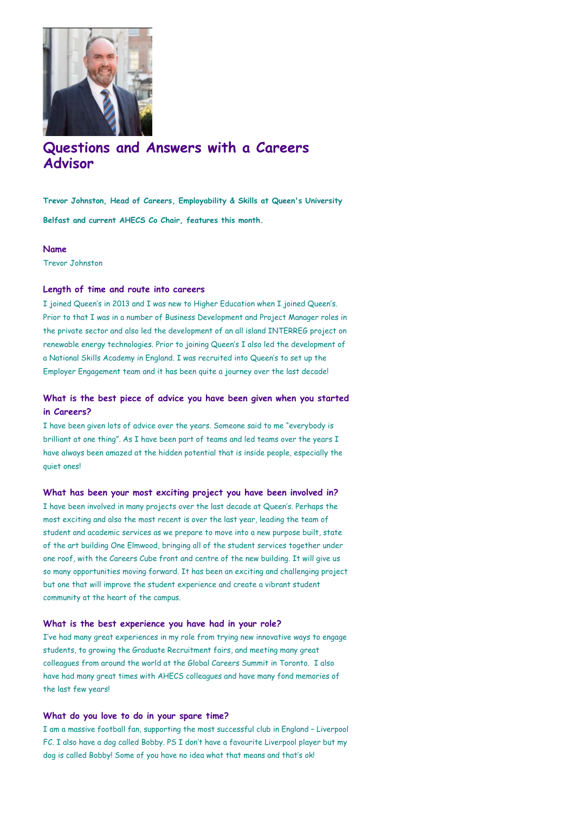

## **Questions and Answers with a Careers Advisor**

**Trevor Johnston, Head of Careers, Employability & Skills at Queen's University Belfast and current AHECS Co Chair, features this month.**

#### **Name**

Trevor Johnston

#### **Length of time and route into careers**

I joined Queen's in 2013 and I was new to Higher Education when I joined Queen's. Prior to that I was in a number of Business Development and Project Manager roles in the private sector and also led the development of an all island INTERREG project on renewable energy technologies. Prior to joining Queen's I also led the development of a National Skills Academy in England. I was recruited into Queen's to set up the Employer Engagement team and it has been quite a journey over the last decade!

#### **What is the best piece of advice you have been given when you started in Careers?**

I have been given lots of advice over the years. Someone said to me "everybody is brilliant at one thing". As I have been part of teams and led teams over the years I have always been amazed at the hidden potential that is inside people, especially the quiet ones!

#### **What has been your most exciting project you have been involved in?**

I have been involved in many projects over the last decade at Queen's. Perhaps the most exciting and also the most recent is over the last year, leading the team of student and academic services as we prepare to move into a new purpose built, state of the art building One Elmwood, bringing all of the student services together under one roof, with the Careers Cube front and centre of the new building. It will give us so many opportunities moving forward. It has been an exciting and challenging project but one that will improve the student experience and create a vibrant student community at the heart of the campus.

#### **What is the best experience you have had in your role?**

I've had many great experiences in my role from trying new innovative ways to engage students, to growing the Graduate Recruitment fairs, and meeting many great colleagues from around the world at the Global Careers Summit in Toronto. I also have had many great times with AHECS colleagues and have many fond memories of the last few years!

#### **What do you love to do in your spare time?**

I am a massive football fan, supporting the most successful club in England – Liverpool FC. I also have a dog called Bobby. PS I don't have a favourite Liverpool player but my dog is called Bobby! Some of you have no idea what that means and that's ok!